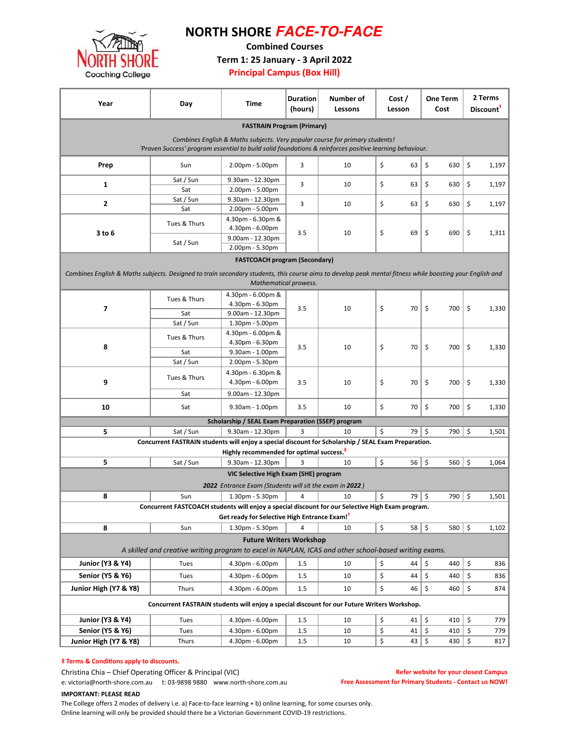

## NORTH SHORE **FACE-TO-FACE**

Combined Courses

Term 1: 25 January - 3 April 2022

### Principal Campus (Box Hill)

| Year                                                                                                                                                     | Day                                                                                                 | Time                                                     | <b>Duration</b><br>(hours) | Number of<br>Lessons | Cost /<br>Lesson | <b>One Term</b><br>Cost | 2 Terms<br>Discount <sup>#</sup> |  |  |  |
|----------------------------------------------------------------------------------------------------------------------------------------------------------|-----------------------------------------------------------------------------------------------------|----------------------------------------------------------|----------------------------|----------------------|------------------|-------------------------|----------------------------------|--|--|--|
| <b>FASTRAIN Program (Primary)</b>                                                                                                                        |                                                                                                     |                                                          |                            |                      |                  |                         |                                  |  |  |  |
| Combines English & Maths subjects. Very popular course for primary students!                                                                             |                                                                                                     |                                                          |                            |                      |                  |                         |                                  |  |  |  |
| 'Proven Success' program essential to build solid foundations & reinforces positive learning behaviour.                                                  |                                                                                                     |                                                          |                            |                      |                  |                         |                                  |  |  |  |
| Prep                                                                                                                                                     | Sun                                                                                                 | 2.00pm - 5.00pm                                          | 3                          | 10                   | \$<br>63         | \$<br>630               | \$<br>1,197                      |  |  |  |
| 1                                                                                                                                                        | Sat / Sun                                                                                           | 9.30am - 12.30pm                                         | 3                          | 10                   | \$<br>63         | \$<br>630               | \$<br>1,197                      |  |  |  |
|                                                                                                                                                          | Sat                                                                                                 | 2.00pm - 5.00pm                                          |                            |                      |                  |                         |                                  |  |  |  |
| 2                                                                                                                                                        | Sat / Sun                                                                                           | 9.30am - 12.30pm                                         | 3                          | 10                   | \$<br>63         | \$<br>630               | \$<br>1,197                      |  |  |  |
|                                                                                                                                                          | Sat                                                                                                 | 2.00pm - 5.00pm                                          |                            |                      |                  |                         |                                  |  |  |  |
|                                                                                                                                                          | Tues & Thurs                                                                                        | 4.30pm - 6.30pm &                                        | 3.5                        | 10                   |                  |                         |                                  |  |  |  |
| 3 to 6                                                                                                                                                   |                                                                                                     | 4.30pm - 6.00pm                                          |                            |                      | \$<br>69         | \$<br>690               | \$<br>1,311                      |  |  |  |
|                                                                                                                                                          | Sat / Sun                                                                                           | 9.00am - 12.30pm<br>2.00pm - 5.30pm                      |                            |                      |                  |                         |                                  |  |  |  |
|                                                                                                                                                          |                                                                                                     |                                                          |                            |                      |                  |                         |                                  |  |  |  |
|                                                                                                                                                          |                                                                                                     | <b>FASTCOACH program (Secondary)</b>                     |                            |                      |                  |                         |                                  |  |  |  |
| Combines English & Maths subjects. Designed to train secondary students, this course aims to develop peak mental fitness while boosting your English and |                                                                                                     |                                                          |                            |                      |                  |                         |                                  |  |  |  |
| Mathematical prowess.                                                                                                                                    |                                                                                                     |                                                          |                            |                      |                  |                         |                                  |  |  |  |
|                                                                                                                                                          | Tues & Thurs                                                                                        | 4.30pm - 6.00pm &                                        |                            | 10                   |                  |                         |                                  |  |  |  |
| 7                                                                                                                                                        |                                                                                                     | 4.30pm - 6.30pm                                          | 3.5                        |                      | \$<br>70         | \$<br>700               | \$<br>1,330                      |  |  |  |
|                                                                                                                                                          | Sat                                                                                                 | 9.00am - 12.30pm                                         |                            |                      |                  |                         |                                  |  |  |  |
|                                                                                                                                                          | Sat / Sun                                                                                           | 1.30pm - 5.00pm                                          |                            |                      |                  |                         |                                  |  |  |  |
| 8                                                                                                                                                        | Tues & Thurs                                                                                        | 4.30pm - 6.00pm &                                        | 3.5                        | 10                   |                  |                         |                                  |  |  |  |
|                                                                                                                                                          |                                                                                                     | 4.30pm - 6.30pm                                          |                            |                      | \$<br>70         | 700<br>\$               | \$<br>1,330                      |  |  |  |
|                                                                                                                                                          | Sat                                                                                                 | 9.30am - 1.00pm                                          |                            |                      |                  |                         |                                  |  |  |  |
|                                                                                                                                                          | Sat / Sun                                                                                           | 2.00pm - 5.30pm                                          |                            |                      |                  |                         |                                  |  |  |  |
| 9                                                                                                                                                        | Tues & Thurs<br>Sat                                                                                 | 4.30pm - 6.30pm &<br>4.30pm - 6.00pm                     | 3.5                        | 10                   | \$<br>70         | 700                     | \$                               |  |  |  |
|                                                                                                                                                          |                                                                                                     |                                                          |                            |                      |                  | \$                      | 1,330                            |  |  |  |
|                                                                                                                                                          |                                                                                                     | 9.00am - 12.30pm                                         |                            |                      |                  |                         |                                  |  |  |  |
| 10                                                                                                                                                       | Sat                                                                                                 | 9.30am - 1.00pm                                          | 3.5                        | 10                   | \$<br>70         | \$<br>700               | \$<br>1,330                      |  |  |  |
| Scholarship / SEAL Exam Preparation (SSEP) program                                                                                                       |                                                                                                     |                                                          |                            |                      |                  |                         |                                  |  |  |  |
| 5                                                                                                                                                        | Sat / Sun                                                                                           | 9.30am - 12.30pm                                         | 3                          | 10                   | \$<br>79         | \$<br>790               | \$<br>1,501                      |  |  |  |
|                                                                                                                                                          | Concurrent FASTRAIN students will enjoy a special discount for Scholarship / SEAL Exam Preparation. |                                                          |                            |                      |                  |                         |                                  |  |  |  |
|                                                                                                                                                          |                                                                                                     | Highly recommended for optimal success. <sup>#</sup>     |                            |                      |                  |                         |                                  |  |  |  |
| 5                                                                                                                                                        | Sat / Sun                                                                                           | 9.30am - 12.30pm                                         | 3                          | 10                   | \$<br>56         | \$<br>560               | \$<br>1,064                      |  |  |  |
|                                                                                                                                                          |                                                                                                     | VIC Selective High Exam (SHE) program                    |                            |                      |                  |                         |                                  |  |  |  |
|                                                                                                                                                          |                                                                                                     | 2022 Entrance Exam (Students will sit the exam in 2022)  |                            |                      |                  |                         |                                  |  |  |  |
| 8                                                                                                                                                        | Sun                                                                                                 | $1.30pm - 5.30pm$                                        | 4                          | 10                   | \$<br>79         | \$<br>790               | \$<br>1,501                      |  |  |  |
|                                                                                                                                                          | Concurrent FASTCOACH students will enjoy a special discount for our Selective High Exam program.    |                                                          |                            |                      |                  |                         |                                  |  |  |  |
|                                                                                                                                                          |                                                                                                     | Get ready for Selective High Entrance Exam! <sup>7</sup> |                            |                      |                  |                         |                                  |  |  |  |
| 8                                                                                                                                                        | Sun                                                                                                 | 1.30pm - 5.30pm                                          | 4                          | 10                   | \$<br>58         | ∣\$<br>580              | $\ddot{\mathsf{s}}$<br>1,102     |  |  |  |
| <b>Future Writers Workshop</b>                                                                                                                           |                                                                                                     |                                                          |                            |                      |                  |                         |                                  |  |  |  |
| A skilled and creative writing program to excel in NAPLAN, ICAS and other school-based writing exams.                                                    |                                                                                                     |                                                          |                            |                      |                  |                         |                                  |  |  |  |
| <b>Junior (Y3 &amp; Y4)</b>                                                                                                                              | Tues                                                                                                | 4.30pm - 6.00pm                                          | 1.5                        | 10                   | \$<br>44         | \$<br>440               | \$<br>836                        |  |  |  |
|                                                                                                                                                          |                                                                                                     |                                                          |                            |                      |                  |                         |                                  |  |  |  |
| <b>Senior (Y5 &amp; Y6)</b>                                                                                                                              | Tues                                                                                                | 4.30pm - 6.00pm                                          | 1.5                        | 10                   | \$<br>44         | \$<br>440               | \$<br>836                        |  |  |  |
| Junior High (Y7 & Y8)                                                                                                                                    | Thurs                                                                                               | 4.30pm - 6.00pm                                          | 1.5                        | 10                   | \$<br>46         | \$<br>460               | \$<br>874                        |  |  |  |
| Concurrent FASTRAIN students will enjoy a special discount for our Future Writers Workshop.                                                              |                                                                                                     |                                                          |                            |                      |                  |                         |                                  |  |  |  |
| <b>Junior (Y3 &amp; Y4)</b>                                                                                                                              | Tues                                                                                                | 4.30pm - 6.00pm                                          | 1.5                        | 10                   | \$<br>41         | \$<br>410               | \$<br>779                        |  |  |  |
| <b>Senior (Y5 &amp; Y6)</b>                                                                                                                              | Tues                                                                                                | 4.30pm - 6.00pm                                          | 1.5                        | 10                   | \$<br>41         | \$<br>410               | \$<br>779                        |  |  |  |
| Junior High (Y7 & Y8)                                                                                                                                    | Thurs                                                                                               | 4.30pm - 6.00pm                                          | 1.5                        | 10                   | \$<br>43         | \$<br>430               | \$<br>817                        |  |  |  |

### $‡$  Terms & Conditions apply to discounts.

Christina Chia – Chief Operating Officer & Principal (VIC) e: victoria@north-shore.com.au t: 03-9898 9880 www.north-shore.com.au

#### Refer website for your closest Campus Free Assessment for Primary Students - Contact us NOW!

#### IMPORTANT: PLEASE READ

The College offers 2 modes of delivery i.e. a) Face-to-face learning + b) online learning, for some courses only. Online learning will only be provided should there be a Victorian Government COVID-19 restrictions.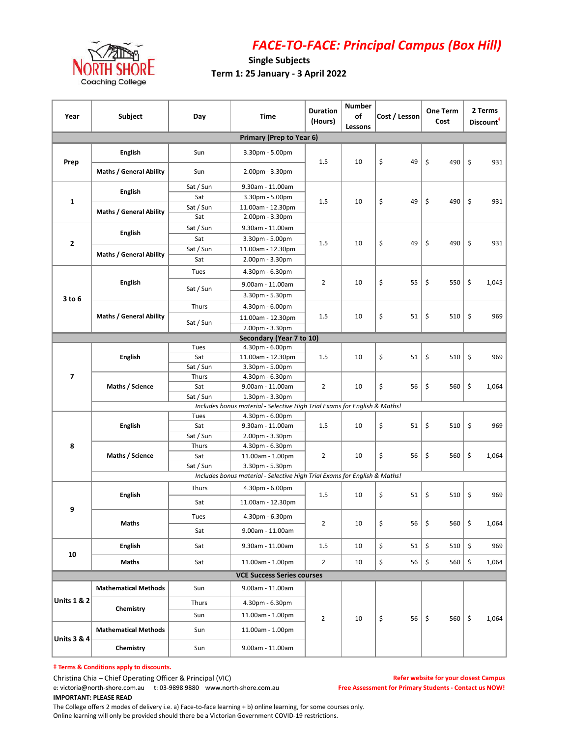

## FACE-TO-FACE: Principal Campus (Box Hill)

## Single Subjects Term 1: 25 January - 3 April 2022

| Year                                                                                                                                  | Subject                        | Day       | Time                                                                      | <b>Duration</b><br>(Hours) | <b>Number</b><br>of<br>Lessons | Cost / Lesson | <b>One Term</b><br>Cost                                                                                              | 2 Terms<br>Discount <sup>#</sup> |  |
|---------------------------------------------------------------------------------------------------------------------------------------|--------------------------------|-----------|---------------------------------------------------------------------------|----------------------------|--------------------------------|---------------|----------------------------------------------------------------------------------------------------------------------|----------------------------------|--|
|                                                                                                                                       |                                |           | Primary (Prep to Year 6)                                                  |                            |                                |               |                                                                                                                      |                                  |  |
| Prep                                                                                                                                  | <b>English</b>                 | Sun       | 3.30pm - 5.00pm                                                           | 1.5                        | 10                             | \$<br>49      | \$<br>490                                                                                                            | \$<br>931                        |  |
|                                                                                                                                       | <b>Maths / General Ability</b> | Sun       | 2.00pm - 3.30pm                                                           |                            |                                |               |                                                                                                                      |                                  |  |
|                                                                                                                                       | <b>English</b>                 | Sat / Sun | 9.30am - 11.00am                                                          | 1.5                        | 10                             |               |                                                                                                                      |                                  |  |
| $\mathbf 1$                                                                                                                           |                                | Sat       | 3.30pm - 5.00pm                                                           |                            |                                | \$<br>49      | \$<br>490                                                                                                            | \$<br>931                        |  |
|                                                                                                                                       | <b>Maths / General Ability</b> | Sat / Sun | 11.00am - 12.30pm                                                         |                            |                                |               |                                                                                                                      |                                  |  |
|                                                                                                                                       |                                | Sat       | 2.00pm - 3.30pm                                                           |                            |                                |               |                                                                                                                      |                                  |  |
| $\mathbf 2$                                                                                                                           | English                        | Sat / Sun | 9.30am - 11.00am                                                          | 1.5                        | 10                             |               |                                                                                                                      |                                  |  |
|                                                                                                                                       |                                | Sat       | 3.30pm - 5.00pm                                                           |                            |                                | \$<br>49      | \$<br>490                                                                                                            | \$<br>931                        |  |
|                                                                                                                                       | <b>Maths / General Ability</b> | Sat / Sun | 11.00am - 12.30pm                                                         |                            |                                |               |                                                                                                                      |                                  |  |
|                                                                                                                                       |                                | Sat       | 2.00pm - 3.30pm                                                           |                            |                                |               |                                                                                                                      |                                  |  |
|                                                                                                                                       | <b>English</b>                 | Tues      | 4.30pm - 6.30pm                                                           | 2                          | 10                             |               |                                                                                                                      |                                  |  |
|                                                                                                                                       |                                |           | 9.00am - 11.00am                                                          |                            |                                | \$<br>55      | \$<br>550                                                                                                            | \$<br>1,045                      |  |
| 3 to 6                                                                                                                                |                                | Sat / Sun | 3.30pm - 5.30pm                                                           |                            |                                |               |                                                                                                                      |                                  |  |
|                                                                                                                                       |                                | Thurs     | 4.30pm - 6.00pm                                                           |                            |                                |               |                                                                                                                      |                                  |  |
|                                                                                                                                       | <b>Maths / General Ability</b> |           | 11.00am - 12.30pm                                                         | 1.5                        | 10                             | \$<br>51      | \$<br>510                                                                                                            | \$<br>969                        |  |
|                                                                                                                                       |                                | Sat / Sun | 2.00pm - 3.30pm                                                           |                            |                                |               |                                                                                                                      |                                  |  |
|                                                                                                                                       |                                |           | Secondary (Year 7 to 10)                                                  |                            |                                |               |                                                                                                                      |                                  |  |
|                                                                                                                                       | <b>English</b>                 | Tues      | 4.30pm - 6.00pm                                                           | 1.5                        | 10                             |               |                                                                                                                      |                                  |  |
|                                                                                                                                       |                                | Sat       | 11.00am - 12.30pm                                                         |                            |                                | \$<br>51      | \$<br>510                                                                                                            | \$<br>969                        |  |
| $\overline{\mathbf{z}}$                                                                                                               |                                | Sat / Sun | 3.30pm - 5.00pm                                                           |                            |                                |               |                                                                                                                      |                                  |  |
|                                                                                                                                       | Maths / Science                | Thurs     | 4.30pm - 6.30pm                                                           | $\overline{2}$             | 10                             | \$<br>56      |                                                                                                                      |                                  |  |
|                                                                                                                                       |                                | Sat       | 9.00am - 11.00am                                                          |                            |                                |               |                                                                                                                      | 1,064                            |  |
|                                                                                                                                       |                                | Sat / Sun | 1.30pm - 3.30pm                                                           |                            |                                |               |                                                                                                                      |                                  |  |
| Includes bonus material - Selective High Trial Exams for English & Maths!                                                             |                                |           |                                                                           |                            |                                |               |                                                                                                                      |                                  |  |
|                                                                                                                                       |                                |           |                                                                           | 1.5                        | 10                             |               |                                                                                                                      |                                  |  |
| Tues<br>4.30pm - 6.00pm<br><b>English</b><br>Sat<br>9.30am - 11.00am<br>Sat / Sun<br>2.00pm - 3.30pm<br>8<br>Thurs<br>4.30pm - 6.30pm |                                |           |                                                                           |                            |                                | \$<br>51      |                                                                                                                      | 969                              |  |
|                                                                                                                                       |                                |           |                                                                           |                            |                                |               |                                                                                                                      |                                  |  |
|                                                                                                                                       | Maths / Science                | Sat       | 11.00am - 1.00pm                                                          | $\overline{2}$             | 10                             | \$<br>56      |                                                                                                                      | 1,064                            |  |
|                                                                                                                                       |                                | Sat / Sun | 3.30pm - 5.30pm                                                           |                            |                                |               |                                                                                                                      |                                  |  |
|                                                                                                                                       |                                |           | Includes bonus material - Selective High Trial Exams for English & Maths! |                            |                                |               | \$<br>\$<br>560<br>\$<br>510<br>\$<br>\$<br>560<br>\$<br>\$<br>\$<br>510<br>\$<br>560   \$<br>\$<br>510<br>\$<br>560 |                                  |  |
|                                                                                                                                       |                                | Thurs     | 4.30pm - 6.00pm                                                           |                            |                                |               |                                                                                                                      |                                  |  |
|                                                                                                                                       | <b>English</b>                 | Sat       | 11.00am - 12.30pm                                                         | 1.5                        | 10                             | \$<br>51      |                                                                                                                      | 969                              |  |
| 9                                                                                                                                     | Maths                          | Tues      | 4.30pm - 6.30pm                                                           | $\overline{2}$             | 10                             | \$<br>56      |                                                                                                                      | 1,064                            |  |
|                                                                                                                                       |                                | Sat       | 9.00am - 11.00am                                                          |                            |                                |               |                                                                                                                      |                                  |  |
| 10                                                                                                                                    | <b>English</b>                 | Sat       | 9.30am - 11.00am                                                          | 1.5                        | 10                             | \$<br>51      |                                                                                                                      | \$<br>969                        |  |
|                                                                                                                                       | Maths                          | Sat       | 11.00am - 1.00pm                                                          | $\overline{2}$             | 10                             | \$<br>56      |                                                                                                                      | \$<br>1,064                      |  |
|                                                                                                                                       |                                |           | <b>VCE Success Series courses</b>                                         |                            |                                |               |                                                                                                                      |                                  |  |
|                                                                                                                                       | <b>Mathematical Methods</b>    | Sun       | 9.00am - 11.00am                                                          |                            |                                |               |                                                                                                                      |                                  |  |
| <b>Units 1 &amp; 2</b>                                                                                                                |                                | Thurs     | 4.30pm - 6.30pm                                                           |                            |                                |               |                                                                                                                      |                                  |  |
|                                                                                                                                       | Chemistry                      | Sun       | 11.00am - 1.00pm                                                          | $\overline{2}$             |                                |               | 560                                                                                                                  | \$<br>1,064                      |  |
|                                                                                                                                       | <b>Mathematical Methods</b>    | Sun       | 11.00am - 1.00pm                                                          |                            | 10                             | \$<br>56   \$ |                                                                                                                      |                                  |  |
| <b>Units 3 &amp; 4</b>                                                                                                                | Chemistry                      | Sun       | 9.00am - 11.00am                                                          |                            |                                |               |                                                                                                                      |                                  |  |

 $‡$  Terms & Conditions apply to discounts.

Christina Chia – Chief Operating Officer & Principal (VIC) e: victoria@north-shore.com.au t: 03-9898 9880 www.north-shore.com.au IMPORTANT: PLEASE READ

Refer website for your closest Campus Free Assessment for Primary Students - Contact us NOW!

The College offers 2 modes of delivery i.e. a) Face-to-face learning + b) online learning, for some courses only. Online learning will only be provided should there be a Victorian Government COVID-19 restrictions.